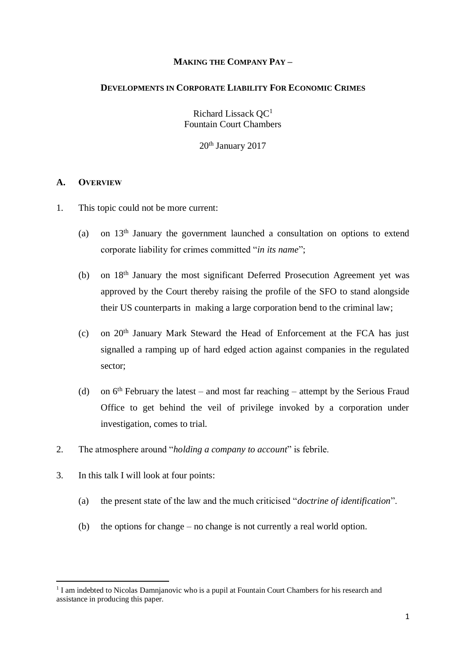## **MAKING THE COMPANY PAY –**

#### **DEVELOPMENTS IN CORPORATE LIABILITY FOR ECONOMIC CRIMES**

Richard Lissack QC<sup>1</sup> Fountain Court Chambers

20<sup>th</sup> January 2017

#### **A. OVERVIEW**

- 1. This topic could not be more current:
	- (a) on 13th January the government launched a consultation on options to extend corporate liability for crimes committed "*in its name*";
	- (b) on 18th January the most significant Deferred Prosecution Agreement yet was approved by the Court thereby raising the profile of the SFO to stand alongside their US counterparts in making a large corporation bend to the criminal law;
	- (c) on 20th January Mark Steward the Head of Enforcement at the FCA has just signalled a ramping up of hard edged action against companies in the regulated sector;
	- (d) on  $6<sup>th</sup>$  February the latest and most far reaching attempt by the Serious Fraud Office to get behind the veil of privilege invoked by a corporation under investigation, comes to trial.
- 2. The atmosphere around "*holding a company to account*" is febrile.
- 3. In this talk I will look at four points:

- (a) the present state of the law and the much criticised "*doctrine of identification*".
- (b) the options for change no change is not currently a real world option.

<sup>&</sup>lt;sup>1</sup> I am indebted to Nicolas Damnjanovic who is a pupil at Fountain Court Chambers for his research and assistance in producing this paper.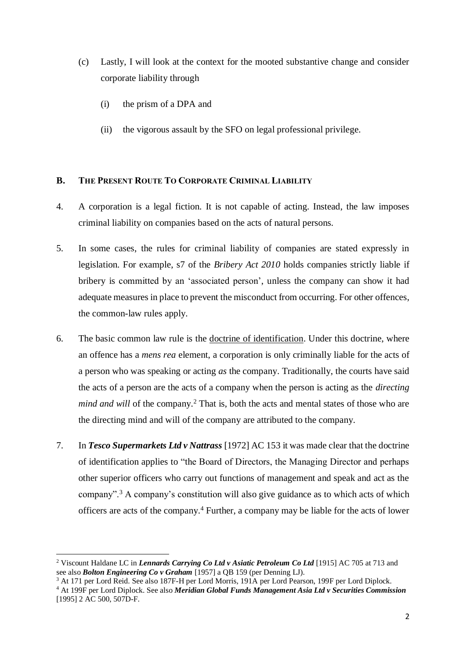- (c) Lastly, I will look at the context for the mooted substantive change and consider corporate liability through
	- (i) the prism of a DPA and
	- (ii) the vigorous assault by the SFO on legal professional privilege.

# **B. THE PRESENT ROUTE TO CORPORATE CRIMINAL LIABILITY**

- 4. A corporation is a legal fiction. It is not capable of acting. Instead, the law imposes criminal liability on companies based on the acts of natural persons.
- 5. In some cases, the rules for criminal liability of companies are stated expressly in legislation. For example, s7 of the *Bribery Act 2010* holds companies strictly liable if bribery is committed by an 'associated person', unless the company can show it had adequate measures in place to prevent the misconduct from occurring. For other offences, the common-law rules apply.
- 6. The basic common law rule is the doctrine of identification. Under this doctrine, where an offence has a *mens rea* element, a corporation is only criminally liable for the acts of a person who was speaking or acting *as* the company. Traditionally, the courts have said the acts of a person are the acts of a company when the person is acting as the *directing mind and will* of the company.<sup>2</sup> That is, both the acts and mental states of those who are the directing mind and will of the company are attributed to the company.
- 7. In *Tesco Supermarkets Ltd v Nattrass* [1972] AC 153 it was made clear that the doctrine of identification applies to "the Board of Directors, the Managing Director and perhaps other superior officers who carry out functions of management and speak and act as the company".<sup>3</sup> A company's constitution will also give guidance as to which acts of which officers are acts of the company.<sup>4</sup> Further, a company may be liable for the acts of lower

<sup>2</sup> Viscount Haldane LC in *Lennards Carrying Co Ltd v Asiatic Petroleum Co Ltd* [1915] AC 705 at 713 and see also *Bolton Engineering Co v Graham* [1957] a QB 159 (per Denning LJ).

<sup>&</sup>lt;sup>3</sup> At 171 per Lord Reid. See also 187F-H per Lord Morris, 191A per Lord Pearson, 199F per Lord Diplock.

<sup>4</sup> At 199F per Lord Diplock. See also *Meridian Global Funds Management Asia Ltd v Securities Commission* [1995] 2 AC 500, 507D-F.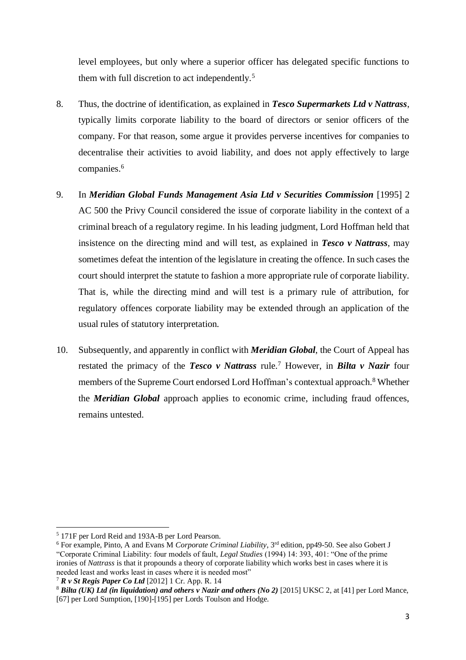level employees, but only where a superior officer has delegated specific functions to them with full discretion to act independently.<sup>5</sup>

- 8. Thus, the doctrine of identification, as explained in *Tesco Supermarkets Ltd v Nattrass*, typically limits corporate liability to the board of directors or senior officers of the company. For that reason, some argue it provides perverse incentives for companies to decentralise their activities to avoid liability, and does not apply effectively to large companies.<sup>6</sup>
- 9. In *Meridian Global Funds Management Asia Ltd v Securities Commission* [1995] 2 AC 500 the Privy Council considered the issue of corporate liability in the context of a criminal breach of a regulatory regime. In his leading judgment, Lord Hoffman held that insistence on the directing mind and will test, as explained in *Tesco v Nattrass*, may sometimes defeat the intention of the legislature in creating the offence. In such cases the court should interpret the statute to fashion a more appropriate rule of corporate liability. That is, while the directing mind and will test is a primary rule of attribution, for regulatory offences corporate liability may be extended through an application of the usual rules of statutory interpretation.
- 10. Subsequently, and apparently in conflict with *Meridian Global*, the Court of Appeal has restated the primacy of the *Tesco v Nattrass* rule.<sup>7</sup> However, in *Bilta v Nazir* four members of the Supreme Court endorsed Lord Hoffman's contextual approach.<sup>8</sup> Whether the *Meridian Global* approach applies to economic crime, including fraud offences, remains untested.

<sup>5</sup> 171F per Lord Reid and 193A-B per Lord Pearson.

<sup>&</sup>lt;sup>6</sup> For example, Pinto, A and Evans M *Corporate Criminal Liability*, 3<sup>rd</sup> edition, pp49-50. See also Gobert J "Corporate Criminal Liability: four models of fault, *Legal Studies* (1994) 14: 393, 401: "One of the prime ironies of *Nattrass* is that it propounds a theory of corporate liability which works best in cases where it is needed least and works least in cases where it is needed most"

<sup>7</sup> *R v St Regis Paper Co Ltd* [2012] 1 Cr. App. R. 14

<sup>8</sup> *Bilta (UK) Ltd (in liquidation) and others v Nazir and others (No 2)* [2015] UKSC 2, at [41] per Lord Mance, [67] per Lord Sumption, [190]-[195] per Lords Toulson and Hodge.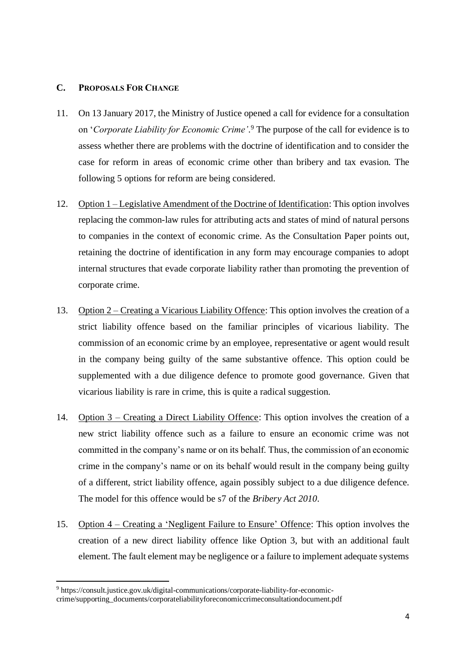## **C. PROPOSALS FOR CHANGE**

- 11. On 13 January 2017, the Ministry of Justice opened a call for evidence for a consultation on '*Corporate Liability for Economic Crime'*. <sup>9</sup> The purpose of the call for evidence is to assess whether there are problems with the doctrine of identification and to consider the case for reform in areas of economic crime other than bribery and tax evasion. The following 5 options for reform are being considered.
- 12. Option 1 Legislative Amendment of the Doctrine of Identification: This option involves replacing the common-law rules for attributing acts and states of mind of natural persons to companies in the context of economic crime. As the Consultation Paper points out, retaining the doctrine of identification in any form may encourage companies to adopt internal structures that evade corporate liability rather than promoting the prevention of corporate crime.
- 13. Option 2 Creating a Vicarious Liability Offence: This option involves the creation of a strict liability offence based on the familiar principles of vicarious liability. The commission of an economic crime by an employee, representative or agent would result in the company being guilty of the same substantive offence. This option could be supplemented with a due diligence defence to promote good governance. Given that vicarious liability is rare in crime, this is quite a radical suggestion.
- 14. Option 3 Creating a Direct Liability Offence: This option involves the creation of a new strict liability offence such as a failure to ensure an economic crime was not committed in the company's name or on its behalf. Thus, the commission of an economic crime in the company's name or on its behalf would result in the company being guilty of a different, strict liability offence, again possibly subject to a due diligence defence. The model for this offence would be s7 of the *Bribery Act 2010*.
- 15. Option 4 Creating a 'Negligent Failure to Ensure' Offence: This option involves the creation of a new direct liability offence like Option 3, but with an additional fault element. The fault element may be negligence or a failure to implement adequate systems

<sup>9</sup> https://consult.justice.gov.uk/digital-communications/corporate-liability-for-economiccrime/supporting\_documents/corporateliabilityforeconomiccrimeconsultationdocument.pdf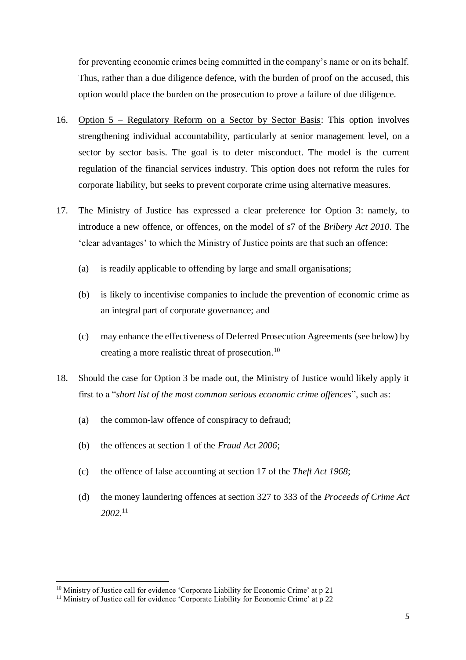for preventing economic crimes being committed in the company's name or on its behalf. Thus, rather than a due diligence defence, with the burden of proof on the accused, this option would place the burden on the prosecution to prove a failure of due diligence.

- 16. Option 5 Regulatory Reform on a Sector by Sector Basis: This option involves strengthening individual accountability, particularly at senior management level, on a sector by sector basis. The goal is to deter misconduct. The model is the current regulation of the financial services industry. This option does not reform the rules for corporate liability, but seeks to prevent corporate crime using alternative measures.
- 17. The Ministry of Justice has expressed a clear preference for Option 3: namely, to introduce a new offence, or offences, on the model of s7 of the *Bribery Act 2010*. The 'clear advantages' to which the Ministry of Justice points are that such an offence:
	- (a) is readily applicable to offending by large and small organisations;
	- (b) is likely to incentivise companies to include the prevention of economic crime as an integral part of corporate governance; and
	- (c) may enhance the effectiveness of Deferred Prosecution Agreements (see below) by creating a more realistic threat of prosecution. 10
- 18. Should the case for Option 3 be made out, the Ministry of Justice would likely apply it first to a "*short list of the most common serious economic crime offences*", such as:
	- (a) the common-law offence of conspiracy to defraud;
	- (b) the offences at section 1 of the *Fraud Act 2006*;
	- (c) the offence of false accounting at section 17 of the *Theft Act 1968*;
	- (d) the money laundering offences at section 327 to 333 of the *Proceeds of Crime Act 2002*. 11

<sup>&</sup>lt;sup>10</sup> Ministry of Justice call for evidence 'Corporate Liability for Economic Crime' at p 21

<sup>&</sup>lt;sup>11</sup> Ministry of Justice call for evidence 'Corporate Liability for Economic Crime' at p 22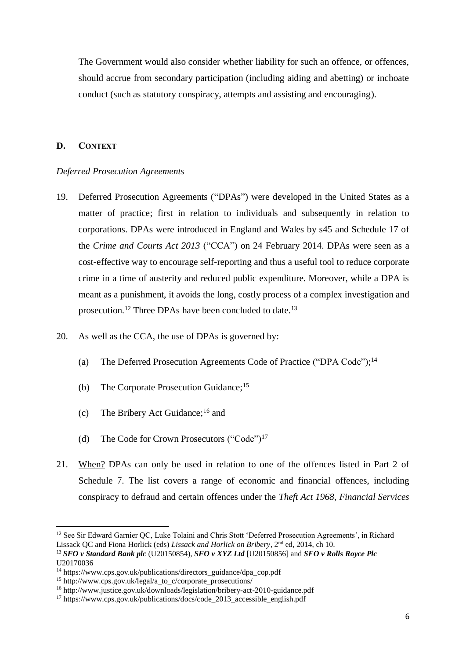The Government would also consider whether liability for such an offence, or offences, should accrue from secondary participation (including aiding and abetting) or inchoate conduct (such as statutory conspiracy, attempts and assisting and encouraging).

#### **D. CONTEXT**

.

#### *Deferred Prosecution Agreements*

- 19. Deferred Prosecution Agreements ("DPAs") were developed in the United States as a matter of practice; first in relation to individuals and subsequently in relation to corporations. DPAs were introduced in England and Wales by s45 and Schedule 17 of the *Crime and Courts Act 2013* ("CCA") on 24 February 2014. DPAs were seen as a cost-effective way to encourage self-reporting and thus a useful tool to reduce corporate crime in a time of austerity and reduced public expenditure. Moreover, while a DPA is meant as a punishment, it avoids the long, costly process of a complex investigation and prosecution.<sup>12</sup> Three DPAs have been concluded to date.<sup>13</sup>
- 20. As well as the CCA, the use of DPAs is governed by:
	- (a) The Deferred Prosecution Agreements Code of Practice ("DPA Code");<sup>14</sup>
	- (b) The Corporate Prosecution Guidance;<sup>15</sup>
	- (c) The Bribery Act Guidance;<sup>16</sup> and
	- (d) The Code for Crown Prosecutors ("Code")<sup>17</sup>
- 21. When? DPAs can only be used in relation to one of the offences listed in Part 2 of Schedule 7. The list covers a range of economic and financial offences, including conspiracy to defraud and certain offences under the *Theft Act 1968*, *Financial Services*

<sup>&</sup>lt;sup>12</sup> See Sir Edward Garnier QC, Luke Tolaini and Chris Stott 'Deferred Prosecution Agreements', in Richard Lissack QC and Fiona Horlick (eds) *Lissack and Horlick on Bribery*, 2<sup>nd</sup> ed, 2014, ch 10.

<sup>13</sup> *SFO v Standard Bank plc* (U20150854), *SFO v XYZ Ltd* [U20150856] and *SFO v Rolls Royce Plc* U20170036

 $14 \text{ https://www.cps.gov.uk/publications/directors\_guidance/dpa-cop.pdf}$ 

 $15$  http://www.cps.gov.uk/legal/a\_to\_c/corporate\_prosecutions/

<sup>16</sup> http://www.justice.gov.uk/downloads/legislation/bribery-act-2010-guidance.pdf

<sup>17</sup> https://www.cps.gov.uk/publications/docs/code\_2013\_accessible\_english.pdf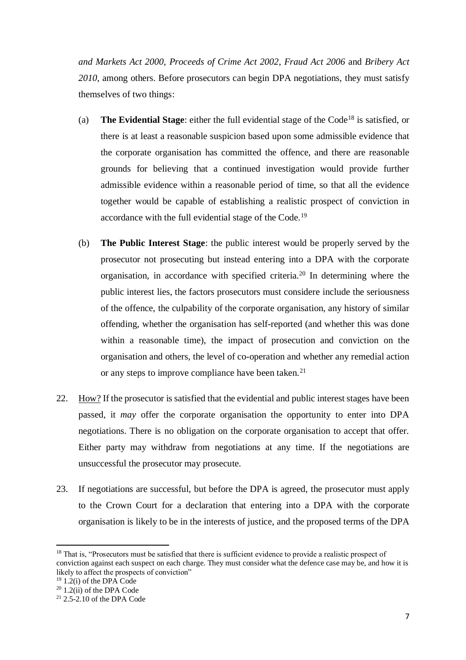*and Markets Act 2000*, *Proceeds of Crime Act 2002*, *Fraud Act 2006* and *Bribery Act 2010*, among others. Before prosecutors can begin DPA negotiations, they must satisfy themselves of two things:

- (a) **The Evidential Stage**: either the full evidential stage of the Code<sup>18</sup> is satisfied, or there is at least a reasonable suspicion based upon some admissible evidence that the corporate organisation has committed the offence, and there are reasonable grounds for believing that a continued investigation would provide further admissible evidence within a reasonable period of time, so that all the evidence together would be capable of establishing a realistic prospect of conviction in accordance with the full evidential stage of the Code.<sup>19</sup>
- (b) **The Public Interest Stage**: the public interest would be properly served by the prosecutor not prosecuting but instead entering into a DPA with the corporate organisation, in accordance with specified criteria.<sup>20</sup> In determining where the public interest lies, the factors prosecutors must considere include the seriousness of the offence, the culpability of the corporate organisation, any history of similar offending, whether the organisation has self-reported (and whether this was done within a reasonable time), the impact of prosecution and conviction on the organisation and others, the level of co-operation and whether any remedial action or any steps to improve compliance have been taken.<sup>21</sup>
- 22. How? If the prosecutor is satisfied that the evidential and public interest stages have been passed, it *may* offer the corporate organisation the opportunity to enter into DPA negotiations. There is no obligation on the corporate organisation to accept that offer. Either party may withdraw from negotiations at any time. If the negotiations are unsuccessful the prosecutor may prosecute.
- 23. If negotiations are successful, but before the DPA is agreed, the prosecutor must apply to the Crown Court for a declaration that entering into a DPA with the corporate organisation is likely to be in the interests of justice, and the proposed terms of the DPA

<sup>&</sup>lt;sup>18</sup> That is, "Prosecutors must be satisfied that there is sufficient evidence to provide a realistic prospect of conviction against each suspect on each charge. They must consider what the defence case may be, and how it is likely to affect the prospects of conviction"

 $19$  1.2(i) of the DPA Code

 $20$  1.2(ii) of the DPA Code

 $21$  2.5-2.10 of the DPA Code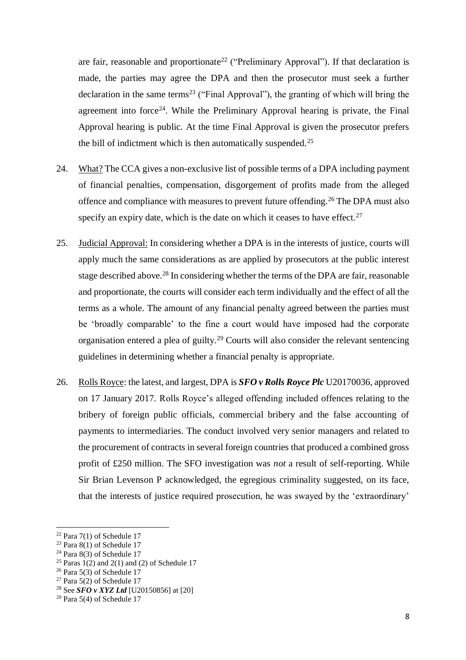are fair, reasonable and proportionate<sup>22</sup> ("Preliminary Approval"). If that declaration is made, the parties may agree the DPA and then the prosecutor must seek a further declaration in the same terms<sup>23</sup> ("Final Approval"), the granting of which will bring the agreement into force<sup>24</sup>. While the Preliminary Approval hearing is private, the Final Approval hearing is public. At the time Final Approval is given the prosecutor prefers the bill of indictment which is then automatically suspended.<sup>25</sup>

- 24. What? The CCA gives a non-exclusive list of possible terms of a DPA including payment of financial penalties, compensation, disgorgement of profits made from the alleged offence and compliance with measures to prevent future offending.<sup>26</sup> The DPA must also specify an expiry date, which is the date on which it ceases to have effect.<sup>27</sup>
- 25. Judicial Approval: In considering whether a DPA is in the interests of justice, courts will apply much the same considerations as are applied by prosecutors at the public interest stage described above.<sup>28</sup> In considering whether the terms of the DPA are fair, reasonable and proportionate, the courts will consider each term individually and the effect of all the terms as a whole. The amount of any financial penalty agreed between the parties must be 'broadly comparable' to the fine a court would have imposed had the corporate organisation entered a plea of guilty.<sup>29</sup> Courts will also consider the relevant sentencing guidelines in determining whether a financial penalty is appropriate.
- 26. Rolls Royce: the latest, and largest, DPA is *SFO v Rolls Royce Plc* U20170036, approved on 17 January 2017. Rolls Royce's alleged offending included offences relating to the bribery of foreign public officials, commercial bribery and the false accounting of payments to intermediaries. The conduct involved very senior managers and related to the procurement of contracts in several foreign countries that produced a combined gross profit of £250 million. The SFO investigation was *not* a result of self-reporting. While Sir Brian Levenson P acknowledged, the egregious criminality suggested, on its face, that the interests of justice required prosecution, he was swayed by the 'extraordinary'

 $22$  Para 7(1) of Schedule 17

<sup>&</sup>lt;sup>23</sup> Para  $8(1)$  of Schedule 17

<sup>&</sup>lt;sup>24</sup> Para  $8(3)$  of Schedule 17

<sup>&</sup>lt;sup>25</sup> Paras  $1(2)$  and  $2(1)$  and  $(2)$  of Schedule 17

<sup>&</sup>lt;sup>26</sup> Para 5(3) of Schedule 17

<sup>&</sup>lt;sup>27</sup> Para 5(2) of Schedule 17

<sup>28</sup> See *SFO v XYZ Ltd* [U20150856] at [20]

 $29$  Para 5(4) of Schedule 17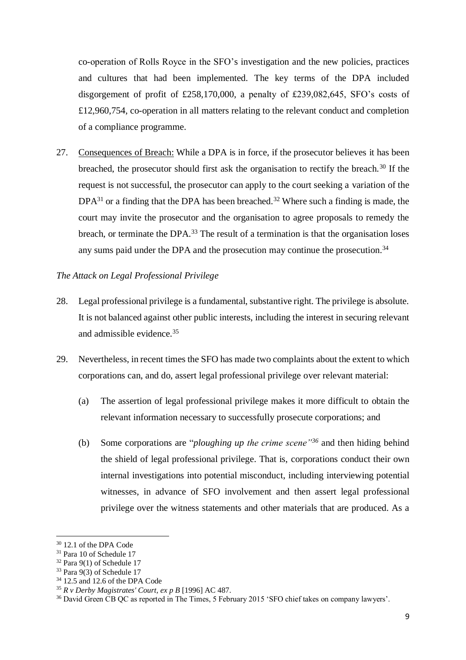co-operation of Rolls Royce in the SFO's investigation and the new policies, practices and cultures that had been implemented. The key terms of the DPA included disgorgement of profit of £258,170,000, a penalty of £239,082,645, SFO's costs of £12,960,754, co-operation in all matters relating to the relevant conduct and completion of a compliance programme.

27. Consequences of Breach: While a DPA is in force, if the prosecutor believes it has been breached, the prosecutor should first ask the organisation to rectify the breach.<sup>30</sup> If the request is not successful, the prosecutor can apply to the court seeking a variation of the  $DPA^{31}$  or a finding that the DPA has been breached.<sup>32</sup> Where such a finding is made, the court may invite the prosecutor and the organisation to agree proposals to remedy the breach, or terminate the DPA.<sup>33</sup> The result of a termination is that the organisation loses any sums paid under the DPA and the prosecution may continue the prosecution.<sup>34</sup>

## *The Attack on Legal Professional Privilege*

- 28. Legal professional privilege is a fundamental, substantive right. The privilege is absolute. It is not balanced against other public interests, including the interest in securing relevant and admissible evidence.<sup>35</sup>
- 29. Nevertheless, in recent times the SFO has made two complaints about the extent to which corporations can, and do, assert legal professional privilege over relevant material:
	- (a) The assertion of legal professional privilege makes it more difficult to obtain the relevant information necessary to successfully prosecute corporations; and
	- (b) Some corporations are "*ploughing up the crime scene"<sup>36</sup>* and then hiding behind the shield of legal professional privilege. That is, corporations conduct their own internal investigations into potential misconduct, including interviewing potential witnesses, in advance of SFO involvement and then assert legal professional privilege over the witness statements and other materials that are produced. As a

<sup>&</sup>lt;sup>30</sup> 12.1 of the DPA Code

<sup>31</sup> Para 10 of Schedule 17

<sup>32</sup> Para 9(1) of Schedule 17

 $33$  Para 9(3) of Schedule 17

 $34$  12.5 and 12.6 of the DPA Code

<sup>35</sup> *R v Derby Magistrates' Court, ex p B* [1996] AC 487.

<sup>36</sup> David Green CB QC as reported in The Times, 5 February 2015 'SFO chief takes on company lawyers'.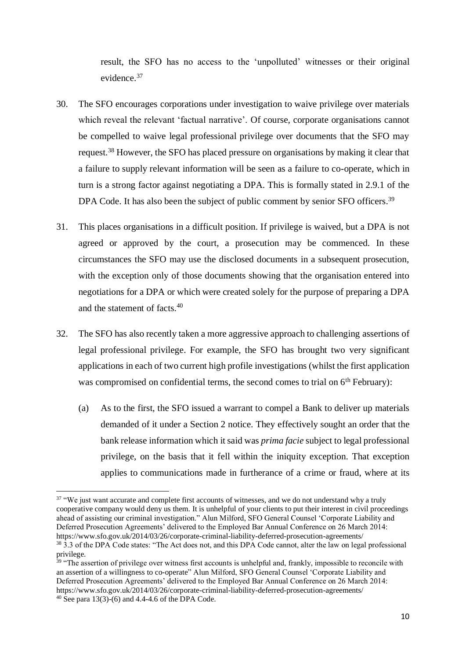result, the SFO has no access to the 'unpolluted' witnesses or their original evidence.<sup>37</sup>

- 30. The SFO encourages corporations under investigation to waive privilege over materials which reveal the relevant 'factual narrative'. Of course, corporate organisations cannot be compelled to waive legal professional privilege over documents that the SFO may request.<sup>38</sup> However, the SFO has placed pressure on organisations by making it clear that a failure to supply relevant information will be seen as a failure to co-operate, which in turn is a strong factor against negotiating a DPA. This is formally stated in 2.9.1 of the DPA Code. It has also been the subject of public comment by senior SFO officers.<sup>39</sup>
- 31. This places organisations in a difficult position. If privilege is waived, but a DPA is not agreed or approved by the court, a prosecution may be commenced. In these circumstances the SFO may use the disclosed documents in a subsequent prosecution, with the exception only of those documents showing that the organisation entered into negotiations for a DPA or which were created solely for the purpose of preparing a DPA and the statement of facts.<sup>40</sup>
- 32. The SFO has also recently taken a more aggressive approach to challenging assertions of legal professional privilege. For example, the SFO has brought two very significant applications in each of two current high profile investigations (whilst the first application was compromised on confidential terms, the second comes to trial on 6<sup>th</sup> February):
	- (a) As to the first, the SFO issued a warrant to compel a Bank to deliver up materials demanded of it under a Section 2 notice. They effectively sought an order that the bank release information which it said was *prima facie* subject to legal professional privilege, on the basis that it fell within the iniquity exception. That exception applies to communications made in furtherance of a crime or fraud, where at its

<sup>&</sup>lt;sup>37</sup> "We just want accurate and complete first accounts of witnesses, and we do not understand why a truly cooperative company would deny us them. It is unhelpful of your clients to put their interest in civil proceedings ahead of assisting our criminal investigation." Alun Milford, SFO General Counsel 'Corporate Liability and Deferred Prosecution Agreements' delivered to the Employed Bar Annual Conference on 26 March 2014: https://www.sfo.gov.uk/2014/03/26/corporate-criminal-liability-deferred-prosecution-agreements/

<sup>38</sup> 3.3 of the DPA Code states: "The Act does not, and this DPA Code cannot, alter the law on legal professional privilege.

 $39$  "The assertion of privilege over witness first accounts is unhelpful and, frankly, impossible to reconcile with an assertion of a willingness to co-operate" Alun Milford, SFO General Counsel 'Corporate Liability and Deferred Prosecution Agreements' delivered to the Employed Bar Annual Conference on 26 March 2014: https://www.sfo.gov.uk/2014/03/26/corporate-criminal-liability-deferred-prosecution-agreements/

 $40$  See para 13(3)-(6) and 4.4-4.6 of the DPA Code.